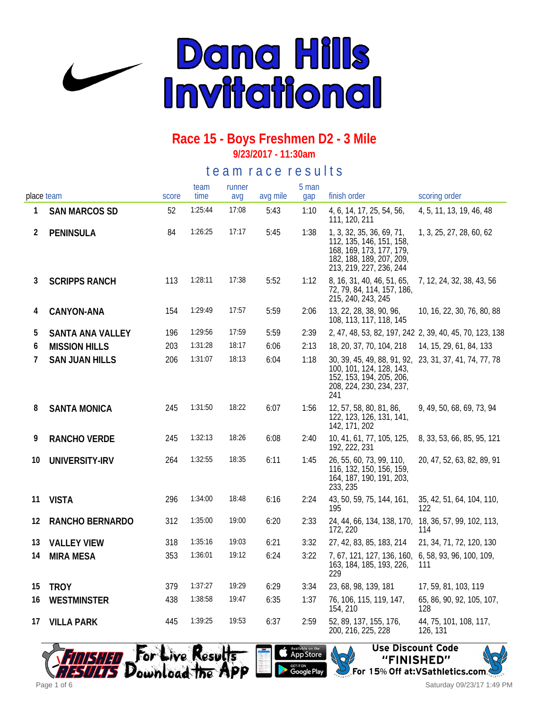

#### **Race 15 - Boys Freshmen D2 - 3 Mile 9/23/2017 - 11:30am**

#### te a m r a c e r e s ults

| place team |                       | score | team<br>time | runner<br>avq | avg mile | 5 man<br>gap | finish order                                                                                                                                      | scoring order                                           |
|------------|-----------------------|-------|--------------|---------------|----------|--------------|---------------------------------------------------------------------------------------------------------------------------------------------------|---------------------------------------------------------|
| 1          | <b>SAN MARCOS SD</b>  | 52    | 1:25:44      | 17:08         | 5:43     | 1:10         | 4, 6, 14, 17, 25, 54, 56,<br>111, 120, 211                                                                                                        | 4, 5, 11, 13, 19, 46, 48                                |
| 2          | PENINSULA             | 84    | 1:26:25      | 17:17         | 5:45     | 1:38         | 1, 3, 32, 35, 36, 69, 71,<br>112, 135, 146, 151, 158,<br>168, 169, 173, 177, 179,<br>182, 188, 189, 207, 209,<br>213, 219, 227, 236, 244          | 1, 3, 25, 27, 28, 60, 62                                |
| 3          | <b>SCRIPPS RANCH</b>  | 113   | 1:28:11      | 17:38         | 5:52     | 1:12         | 8, 16, 31, 40, 46, 51, 65,<br>72, 79, 84, 114, 157, 186,<br>215, 240, 243, 245                                                                    | 7, 12, 24, 32, 38, 43, 56                               |
| 4          | CANYON-ANA            | 154   | 1:29:49      | 17:57         | 5:59     | 2:06         | 13, 22, 28, 38, 90, 96,<br>108, 113, 117, 118, 145                                                                                                | 10, 16, 22, 30, 76, 80, 88                              |
| 5          | SANTA ANA VALLEY      | 196   | 1:29:56      | 17:59         | 5:59     | 2:39         |                                                                                                                                                   | 2, 47, 48, 53, 82, 197, 242 2, 39, 40, 45, 70, 123, 138 |
| 6          | <b>MISSION HILLS</b>  | 203   | 1:31:28      | 18:17         | 6:06     | 2:13         | 18, 20, 37, 70, 104, 218                                                                                                                          | 14, 15, 29, 61, 84, 133                                 |
| 7          | <b>SAN JUAN HILLS</b> | 206   | 1:31:07      | 18:13         | 6:04     | 1:18         | 30, 39, 45, 49, 88, 91, 92, 23, 31, 37, 41, 74, 77, 78<br>100, 101, 124, 128, 143,<br>152, 153, 194, 205, 206,<br>208, 224, 230, 234, 237,<br>241 |                                                         |
| 8          | <b>SANTA MONICA</b>   | 245   | 1:31:50      | 18:22         | 6:07     | 1:56         | 12, 57, 58, 80, 81, 86,<br>122, 123, 126, 131, 141,<br>142, 171, 202                                                                              | 9, 49, 50, 68, 69, 73, 94                               |
| 9          | RANCHO VERDE          | 245   | 1:32:13      | 18:26         | 6:08     | 2:40         | 10, 41, 61, 77, 105, 125,<br>192, 222, 231                                                                                                        | 8, 33, 53, 66, 85, 95, 121                              |
| 10         | UNIVERSITY-IRV        | 264   | 1:32:55      | 18:35         | 6:11     | 1:45         | 26, 55, 60, 73, 99, 110,<br>116, 132, 150, 156, 159,<br>164, 187, 190, 191, 203,<br>233, 235                                                      | 20, 47, 52, 63, 82, 89, 91                              |
| 11         | <b>VISTA</b>          | 296   | 1:34:00      | 18:48         | 6:16     | 2:24         | 43, 50, 59, 75, 144, 161,<br>195                                                                                                                  | 35, 42, 51, 64, 104, 110,<br>122                        |
| 12         | RANCHO BERNARDO       | 312   | 1:35:00      | 19:00         | 6:20     | 2:33         | 24, 44, 66, 134, 138, 170, 18, 36, 57, 99, 102, 113,<br>172, 220                                                                                  | 114                                                     |
| 13         | <b>VALLEY VIEW</b>    | 318   | 1:35:16      | 19:03         | 6:21     | 3:32         | 27, 42, 83, 85, 183, 214                                                                                                                          | 21, 34, 71, 72, 120, 130                                |
| 14         | <b>MIRA MESA</b>      | 353   | 1:36:01      | 19:12         | 6:24     | 3:22         | 7, 67, 121, 127, 136, 160, 6, 58, 93, 96, 100, 109,<br>163, 184, 185, 193, 226,<br>229                                                            | 111                                                     |
| 15         | <b>TROY</b>           | 379   | 1:37:27      | 19:29         | 6:29     | 3:34         | 23, 68, 98, 139, 181                                                                                                                              | 17, 59, 81, 103, 119                                    |
| 16         | WESTMINSTER           | 438   | 1:38:58      | 19:47         | 6:35     | 1:37         | 76, 106, 115, 119, 147,<br>154, 210                                                                                                               | 65, 86, 90, 92, 105, 107,<br>128                        |
| 17         | <b>VILLA PARK</b>     | 445   | 1:39:25      | 19:53         | 6:37     | 2:59         | 52, 89, 137, 155, 176,<br>200, 216, 225, 228                                                                                                      | 44, 75, 101, 108, 117,<br>126, 131                      |





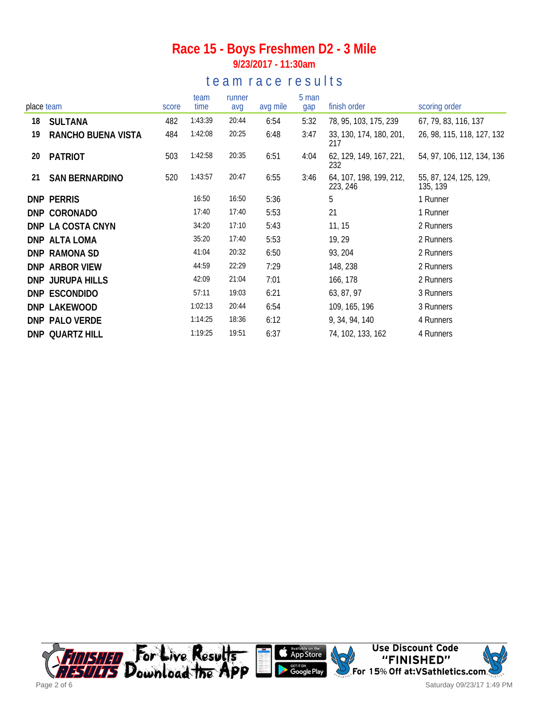#### **Race 15 - Boys Freshmen D2 - 3 Mile 9/23/2017 - 11:30am**

### te a m r a c e r e s ults

| place team |                         | score | team<br>time | runner<br>avg | avg mile | 5 man<br>gap | finish order                        | scoring order                      |
|------------|-------------------------|-------|--------------|---------------|----------|--------------|-------------------------------------|------------------------------------|
|            |                         |       |              |               |          |              |                                     |                                    |
| 18         | <b>SULTANA</b>          | 482   | 1:43:39      | 20:44         | 6:54     | 5:32         | 78, 95, 103, 175, 239               | 67, 79, 83, 116, 137               |
| 19         | RANCHO BUENA VISTA      | 484   | 1:42:08      | 20:25         | 6:48     | 3:47         | 33, 130, 174, 180, 201,<br>217      | 26, 98, 115, 118, 127, 132         |
| 20         | <b>PATRIOT</b>          | 503   | 1:42:58      | 20:35         | 6:51     | 4:04         | 62, 129, 149, 167, 221,<br>232      | 54, 97, 106, 112, 134, 136         |
| 21         | <b>SAN BERNARDINO</b>   | 520   | 1:43:57      | 20:47         | 6:55     | 3:46         | 64, 107, 198, 199, 212,<br>223, 246 | 55, 87, 124, 125, 129,<br>135, 139 |
|            | <b>DNP PERRIS</b>       |       | 16:50        | 16:50         | 5:36     |              | 5                                   | 1 Runner                           |
|            | DNP CORONADO            |       | 17:40        | 17:40         | 5:53     |              | 21                                  | 1 Runner                           |
|            | DNP LA COSTA CNYN       |       | 34:20        | 17:10         | 5:43     |              | 11, 15                              | 2 Runners                          |
|            | DNP ALTA LOMA           |       | 35:20        | 17:40         | 5:53     |              | 19, 29                              | 2 Runners                          |
|            | DNP RAMONA SD           |       | 41:04        | 20:32         | 6:50     |              | 93, 204                             | 2 Runners                          |
|            | DNP ARBOR VIEW          |       | 44:59        | 22:29         | 7:29     |              | 148, 238                            | 2 Runners                          |
|            | <b>DNP JURUPA HILLS</b> |       | 42:09        | 21:04         | 7:01     |              | 166, 178                            | 2 Runners                          |
|            | DNP ESCONDIDO           |       | 57:11        | 19:03         | 6:21     |              | 63, 87, 97                          | 3 Runners                          |
|            | DNP LAKEWOOD            |       | 1:02:13      | 20:44         | 6:54     |              | 109, 165, 196                       | 3 Runners                          |
|            | DNP PALO VERDE          |       | 1:14:25      | 18:36         | 6:12     |              | 9, 34, 94, 140                      | 4 Runners                          |
|            | DNP QUARTZ HILL         |       | 1:19:25      | 19:51         | 6:37     |              | 74, 102, 133, 162                   | 4 Runners                          |

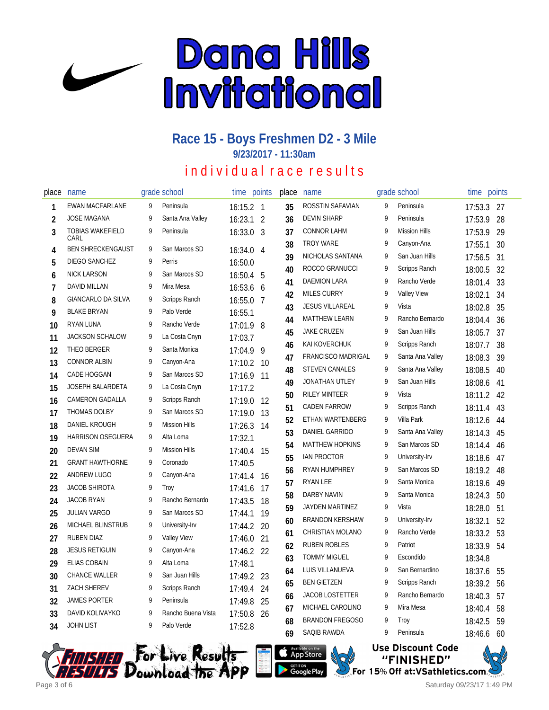

#### **Race 15 - Boys Freshmen D2 - 3 Mile 9/23/2017 - 11:30am**

## individual race results

| place          | name                            |   | grade school         | time        | points         | place | name                    |   | grade school         | time    | points |
|----------------|---------------------------------|---|----------------------|-------------|----------------|-------|-------------------------|---|----------------------|---------|--------|
| 1              | <b>EWAN MACFARLANE</b>          | 9 | Peninsula            | $16:15.2$ 1 |                | 35    | ROSSTIN SAFAVIAN        | 9 | Peninsula            | 17:53.3 | - 27   |
| $\overline{2}$ | <b>JOSE MAGANA</b>              | 9 | Santa Ana Valley     | 16:23.1     | $\overline{2}$ | 36    | <b>DEVIN SHARP</b>      | 9 | Peninsula            | 17:53.9 | 28     |
| 3              | <b>TOBIAS WAKEFIELD</b><br>CARL | 9 | Peninsula            | 16:33.0 3   |                | 37    | <b>CONNOR LAHM</b>      | 9 | <b>Mission Hills</b> | 17:53.9 | 29     |
| 4              | <b>BEN SHRECKENGAUST</b>        | 9 | San Marcos SD        | 16:34.0     | 4              | 38    | <b>TROY WARE</b>        | 9 | Canyon-Ana           | 17:55.1 | 30     |
| 5              | DIEGO SANCHEZ                   | 9 | Perris               | 16:50.0     |                | 39    | NICHOLAS SANTANA        | 9 | San Juan Hills       | 17:56.5 | 31     |
| 6              | <b>NICK LARSON</b>              | 9 | San Marcos SD        | 16:50.4     | 5              | 40    | ROCCO GRANUCCI          | 9 | Scripps Ranch        | 18:00.5 | 32     |
| $\overline{1}$ | DAVID MILLAN                    | 9 | Mira Mesa            | 16:53.6 6   |                | 41    | <b>DAEMION LARA</b>     | 9 | Rancho Verde         | 18:01.4 | 33     |
| 8              | <b>GIANCARLO DA SILVA</b>       | 9 | Scripps Ranch        | 16:55.0 7   |                | 42    | <b>MILES CURRY</b>      | 9 | Valley View          | 18:02.1 | 34     |
| 9              | <b>BLAKE BRYAN</b>              | 9 | Palo Verde           | 16:55.1     |                | 43    | <b>JESUS VILLAREAL</b>  | 9 | Vista                | 18:02.8 | 35     |
| 10             | <b>RYAN LUNA</b>                | 9 | Rancho Verde         | 17:01.9 8   |                | 44    | <b>MATTHEW LEARN</b>    | 9 | Rancho Bernardo      | 18:04.4 | 36     |
| 11             | <b>JACKSON SCHALOW</b>          | 9 | La Costa Cnyn        | 17:03.7     |                | 45    | <b>JAKE CRUZEN</b>      | 9 | San Juan Hills       | 18:05.7 | 37     |
| 12             | THEO BERGER                     | 9 | Santa Monica         | 17:04.9     | 9              | 46    | KAI KOVERCHUK           | 9 | Scripps Ranch        | 18:07.7 | 38     |
| 13             | <b>CONNOR ALBIN</b>             | 9 | Canyon-Ana           | 17:10.2     | -10            | 47    | FRANCISCO MADRIGAL      | 9 | Santa Ana Valley     | 18:08.3 | 39     |
| 14             | CADE HOGGAN                     | 9 | San Marcos SD        | 17:16.9 11  |                | 48    | <b>STEVEN CANALES</b>   | 9 | Santa Ana Valley     | 18:08.5 | 40     |
| 15             | JOSEPH BALARDETA                | 9 | La Costa Cnyn        | 17:17.2     |                | 49    | JONATHAN UTLEY          | 9 | San Juan Hills       | 18:08.6 | 41     |
| 16             | <b>CAMERON GADALLA</b>          | 9 | Scripps Ranch        | 17:19.0     | -12            | 50    | <b>RILEY MINTEER</b>    | 9 | Vista                | 18:11.2 | 42     |
| 17             | <b>THOMAS DOLBY</b>             | 9 | San Marcos SD        | 17:19.0     | 13             | 51    | <b>CADEN FARROW</b>     | 9 | Scripps Ranch        | 18:11.4 | 43     |
| 18             | DANIEL KROUGH                   | 9 | <b>Mission Hills</b> | 17:26.3     | 14             | 52    | <b>ETHAN WARTENBERG</b> | 9 | Villa Park           | 18:12.6 | 44     |
| 19             | HARRISON OSEGUERA               | 9 | Alta Loma            | 17:32.1     |                | 53    | DANIEL GARRIDO          | 9 | Santa Ana Valley     | 18:14.3 | 45     |
| 20             | <b>DEVAN SIM</b>                | 9 | <b>Mission Hills</b> | 17:40.4     | 15             | 54    | <b>MATTHEW HOPKINS</b>  | 9 | San Marcos SD        | 18:14.4 | 46     |
| 21             | <b>GRANT HAWTHORNE</b>          | 9 | Coronado             | 17:40.5     |                | 55    | <b>IAN PROCTOR</b>      | 9 | University-Irv       | 18:18.6 | 47     |
| 22             | ANDREW LUGO                     | 9 | Canyon-Ana           | 17:41.4     | 16             | 56    | RYAN HUMPHREY           | 9 | San Marcos SD        | 18:19.2 | 48     |
| 23             | <b>JACOB SHIROTA</b>            | 9 | Troy                 | 17:41.6     | 17             | 57    | RYAN LEE                | 9 | Santa Monica         | 18:19.6 | 49     |
| 24             | <b>JACOB RYAN</b>               | 9 | Rancho Bernardo      | 17:43.5     | 18             | 58    | <b>DARBY NAVIN</b>      | 9 | Santa Monica         | 18:24.3 | 50     |
| 25             | JULIAN VARGO                    | 9 | San Marcos SD        | 17:44.1     | 19             | 59    | <b>JAYDEN MARTINEZ</b>  | 9 | Vista                | 18:28.0 | 51     |
| 26             | MICHAEL BLINSTRUB               | 9 | University-Irv       | 17:44.2     | 20             | 60    | <b>BRANDON KERSHAW</b>  | 9 | University-Irv       | 18:32.1 | 52     |
| 27             | <b>RUBEN DIAZ</b>               | 9 | <b>Valley View</b>   | 17:46.0     | 21             | 61    | CHRISTIAN MOLANO        | 9 | Rancho Verde         | 18:33.2 | 53     |
| 28             | <b>JESUS RETIGUIN</b>           | 9 | Canyon-Ana           | 17:46.2 22  |                | 62    | <b>RUBEN ROBLES</b>     | 9 | Patriot              | 18:33.9 | 54     |
| 29             | <b>ELIAS COBAIN</b>             | 9 | Alta Loma            | 17:48.1     |                | 63    | <b>TOMMY MIGUEL</b>     | 9 | Escondido            | 18:34.8 |        |
| 30             | <b>CHANCE WALLER</b>            | 9 | San Juan Hills       | 17:49.2     | -23            | 64    | LUIS VILLANUEVA         | 9 | San Bernardino       | 18:37.6 | 55     |
| 31             | <b>ZACH SHEREV</b>              | 9 | Scripps Ranch        | 17:49.4     | 24             | 65    | <b>BEN GIETZEN</b>      | 9 | Scripps Ranch        | 18:39.2 | 56     |
| 32             | <b>JAMES PORTER</b>             | 9 | Peninsula            | 17:49.8     | 25             | 66    | <b>JACOB LOSTETTER</b>  | 9 | Rancho Bernardo      | 18:40.3 | 57     |
| 33             | DAVID KOLIVAYKO                 | 9 | Rancho Buena Vista   | 17:50.8     | 26             | 67    | MICHAEL CAROLINO        | 9 | Mira Mesa            | 18:40.4 | 58     |
| 34             | <b>JOHN LIST</b>                | 9 | Palo Verde           | 17:52.8     |                | 68    | <b>BRANDON FREGOSO</b>  | 9 | Troy                 | 18:42.5 | 59     |
|                |                                 |   |                      |             |                | 69    | <b>SAQIB RAWDA</b>      | 9 | Peninsula            | 18:46.6 | 60     |







Saturday 09/23/17 1:49 PM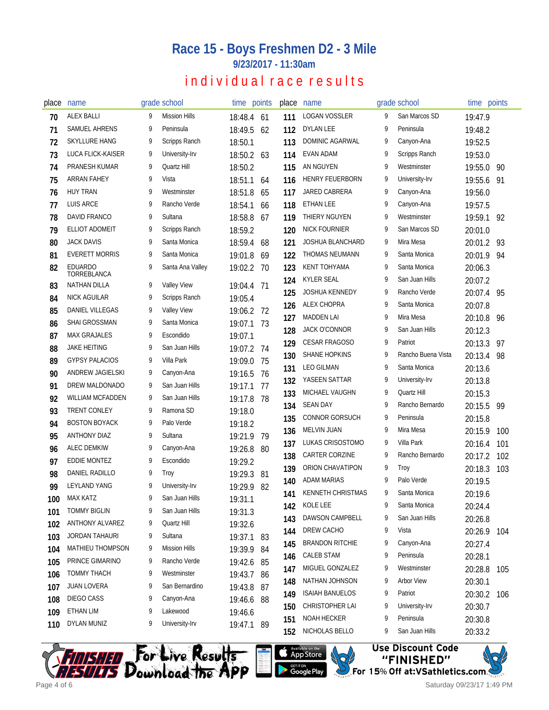### **Race 15 - Boys Freshmen D2 - 3 Mile**

**9/23/2017 - 11:30am**

## individual race results

| place | name                                      | grade school                     |            | time points | place | name                     |   | grade school       | time points |     |
|-------|-------------------------------------------|----------------------------------|------------|-------------|-------|--------------------------|---|--------------------|-------------|-----|
| 70    | <b>ALEX BALLI</b>                         | <b>Mission Hills</b><br>9        | 18:48.4 61 |             | 111   | LOGAN VOSSLER            | 9 | San Marcos SD      | 19:47.9     |     |
| 71    | SAMUEL AHRENS                             | 9<br>Peninsula                   | 18:49.5    | 62          | 112   | <b>DYLAN LEE</b>         | 9 | Peninsula          | 19:48.2     |     |
| 72    | SKYLLURE HANG                             | 9<br>Scripps Ranch               | 18:50.1    |             | 113   | DOMINIC AGARWAL          | 9 | Canyon-Ana         | 19:52.5     |     |
| 73    | LUCA FLICK-KAISER                         | 9<br>University-Irv              | 18:50.2 63 |             | 114   | EVAN ADAM                | 9 | Scripps Ranch      | 19:53.0     |     |
| 74    | PRANESH KUMAR                             | 9<br>Quartz Hill                 | 18:50.2    |             | 115   | AN NGUYEN                | 9 | Westminster        | 19:55.0     | 90  |
| 75    | ARRAN FAHEY                               | Vista<br>9                       | 18:51.1    | 64          | 116   | <b>HENRY FEUERBORN</b>   | 9 | University-Irv     | 19:55.6     | 91  |
| 76    | <b>HUY TRAN</b>                           | 9<br>Westminster                 | 18:51.8    | 65          | 117   | JARED CABRERA            | 9 | Canyon-Ana         | 19:56.0     |     |
| 77    | <b>LUIS ARCE</b>                          | 9<br>Rancho Verde                | 18:54.1    | 66          | 118   | <b>ETHAN LEE</b>         | 9 | Canyon-Ana         | 19:57.5     |     |
| 78    | DAVID FRANCO                              | Sultana<br>9                     | 18:58.8    | 67          | 119   | THIERY NGUYEN            | 9 | Westminster        | 19:59.1     | 92  |
| 79    | <b>ELLIOT ADOMEIT</b>                     | 9<br>Scripps Ranch               | 18:59.2    |             | 120   | <b>NICK FOURNIER</b>     | 9 | San Marcos SD      | 20:01.0     |     |
| 80    | <b>JACK DAVIS</b>                         | 9<br>Santa Monica                | 18:59.4    | 68          | 121   | <b>JOSHUA BLANCHARD</b>  | 9 | Mira Mesa          | 20:01.2     | -93 |
| 81    | <b>EVERETT MORRIS</b>                     | 9<br>Santa Monica                | 19:01.8    | 69          | 122   | <b>THOMAS NEUMANN</b>    | 9 | Santa Monica       | 20:01.9     | 94  |
| 82    | <b>EDUARDO</b>                            | 9<br>Santa Ana Valley            | 19:02.2    | - 70        | 123   | <b>KENT TOHYAMA</b>      | 9 | Santa Monica       | 20:06.3     |     |
|       | TORREBLANCA<br><b>NATHAN DILLA</b>        | 9<br><b>Valley View</b>          |            |             | 124   | <b>KYLER SEAL</b>        | 9 | San Juan Hills     | 20:07.2     |     |
| 83    | NICK AGUILAR                              | 9<br>Scripps Ranch               | 19:04.4    | 71          | 125   | <b>JOSHUA KENNEDY</b>    | 9 | Rancho Verde       | 20:07.4     | 95  |
| 84    | DANIEL VILLEGAS                           | 9<br><b>Valley View</b>          | 19:05.4    |             | 126   | <b>ALEX CHOPRA</b>       | 9 | Santa Monica       | 20:07.8     |     |
| 85    | <b>SHAI GROSSMAN</b>                      | 9<br>Santa Monica                | 19:06.2    | - 72        | 127   | <b>MADDEN LAI</b>        | 9 | Mira Mesa          | 20:10.8     | 96  |
| 86    | <b>MAX GRAJALES</b>                       | Escondido<br>9                   | 19:07.1    | 73          | 128   | <b>JACK O'CONNOR</b>     | 9 | San Juan Hills     | 20:12.3     |     |
| 87    | <b>JAKE HEITING</b>                       | 9<br>San Juan Hills              | 19:07.1    |             | 129   | CESAR FRAGOSO            | 9 | Patriot            | 20:13.3     | 97  |
| 88    | <b>GYPSY PALACIOS</b>                     | 9<br>Villa Park                  | 19:07.2 74 |             | 130   | <b>SHANE HOPKINS</b>     | 9 | Rancho Buena Vista | 20:13.4     | 98  |
| 89    | ANDREW JAGIELSKI                          | 9<br>Canyon-Ana                  | 19:09.0    | 75          | 131   | <b>LEO GILMAN</b>        | 9 | Santa Monica       | 20:13.6     |     |
| 90    | DREW MALDONADO                            | 9<br>San Juan Hills              | 19:16.5    | 76          | 132   | YASEEN SATTAR            | 9 | University-Irv     | 20:13.8     |     |
| 91    | <b>WILLIAM MCFADDEN</b>                   | 9<br>San Juan Hills              | 19:17.1    | 77          | 133   | MICHAEL VAUGHN           | 9 | Quartz Hill        | 20:15.3     |     |
| 92    | <b>TRENT CONLEY</b>                       | Ramona SD<br>9                   | 19:17.8    | 78          | 134   | <b>SEAN DAY</b>          | 9 | Rancho Bernardo    | 20:15.5     | 99  |
| 93    | <b>BOSTON BOYACK</b>                      | 9<br>Palo Verde                  | 19:18.0    |             | 135   | CONNOR GORSUCH           | 9 | Peninsula          | 20:15.8     |     |
| 94    |                                           | q<br>Sultana                     | 19:18.2    |             | 136   | <b>MELVIN JUAN</b>       | 9 | Mira Mesa          | 20:15.9     | 100 |
| 95    | <b>ANTHONY DIAZ</b><br><b>ALEC DEMKIW</b> | 9                                | 19:21.9    | 79          | 137   | LUKAS CRISOSTOMO         | 9 | Villa Park         | 20:16.4     | 101 |
| 96    | <b>EDDIE MONTEZ</b>                       | Canyon-Ana<br>9<br>Escondido     | 19:26.8    | 80          | 138   | CARTER CORZINE           | 9 | Rancho Bernardo    | 20:17.2     | 102 |
| 97    | DANIEL RADILLO                            | 9                                | 19:29.2    |             | 139   | ORION CHAVATIPON         | 9 | Troy               | 20:18.3     | 103 |
| 98    | <b>LEYLAND YANG</b>                       | Troy<br>9                        | 19:29.3    | -81         | 140   | <b>ADAM MARIAS</b>       | 9 | Palo Verde         | 20:19.5     |     |
| 99    | <b>MAX KATZ</b>                           | University-Irv<br>San Juan Hills | 19:29.9    | 82          | 141   | <b>KENNETH CHRISTMAS</b> | 9 | Santa Monica       | 20:19.6     |     |
| 100   | <b>TOMMY BIGLIN</b>                       | 9<br>San Juan Hills<br>9         | 19:31.1    |             | 142   | KOLE LEE                 | 9 | Santa Monica       | 20:24.4     |     |
| 101   | ANTHONY ALVAREZ                           | Quartz Hill                      | 19:31.3    |             | 143   | DAWSON CAMPBELL          | 9 | San Juan Hills     | 20:26.8     |     |
| 102   | <b>JORDAN TAHAURI</b>                     | 9<br>Sultana<br>9                | 19:32.6    |             | 144   | DREW CACHO               | 9 | Vista              | 20:26.9     | 104 |
| 103   |                                           |                                  | 19:37.1 83 |             | 145   | <b>BRANDON RITCHIE</b>   | 9 | Canyon-Ana         | 20:27.4     |     |
| 104   | MATHIEU THOMPSON<br>PRINCE GIMARINO       | <b>Mission Hills</b><br>9        | 19:39.9 84 |             | 146   | CALEB STAM               | 9 | Peninsula          | 20:28.1     |     |
| 105   |                                           | Rancho Verde<br>9                | 19:42.6 85 |             | 147   | MIGUEL GONZALEZ          | 9 | Westminster        | 20:28.8     | 105 |
| 106   | TOMMY THACH                               | 9<br>Westminster                 | 19:43.7 86 |             | 148   | NATHAN JOHNSON           | 9 | <b>Arbor View</b>  | 20:30.1     |     |
| 107   | JUAN LOVERA                               | San Bernardino<br>9              | 19:43.8 87 |             | 149   | <b>ISAIAH BANUELOS</b>   | 9 | Patriot            | 20:30.2     | 106 |
| 108   | DIEGO CASS                                | 9<br>Canyon-Ana                  | 19:46.6 88 |             | 150   | CHRISTOPHER LAI          | 9 | University-Irv     | 20:30.7     |     |
| 109   | ETHAN LIM                                 | Lakewood<br>9                    | 19:46.6    |             | 151   | <b>NOAH HECKER</b>       | 9 | Peninsula          | 20:30.8     |     |
| 110   | DYLAN MUNIZ                               | University-Irv<br>9              | 19:47.1 89 |             | 152   | NICHOLAS BELLO           | 9 | San Juan Hills     | 20:33.2     |     |







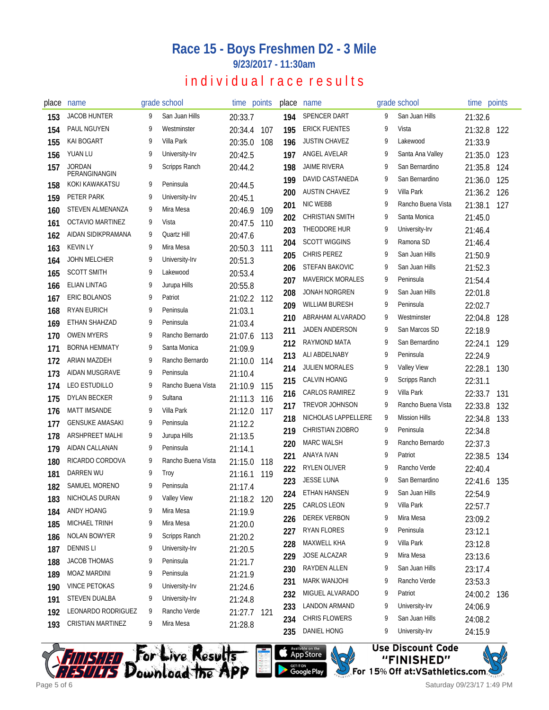### **Race 15 - Boys Freshmen D2 - 3 Mile**

**9/23/2017 - 11:30am**

## individual race results

| place | name                           |   | grade school       |         | time points | place | name                    |   | grade school         | time points |     |
|-------|--------------------------------|---|--------------------|---------|-------------|-------|-------------------------|---|----------------------|-------------|-----|
| 153   | <b>JACOB HUNTER</b>            | 9 | San Juan Hills     | 20:33.7 |             | 194   | SPENCER DART            | 9 | San Juan Hills       | 21:32.6     |     |
| 154   | PAUL NGUYEN                    | 9 | Westminster        | 20:34.4 | 107         | 195   | <b>ERICK FUENTES</b>    | 9 | Vista                | 21:32.8     | 122 |
| 155   | <b>KAI BOGART</b>              | 9 | Villa Park         | 20:35.0 | 108         | 196   | <b>JUSTIN CHAVEZ</b>    | 9 | Lakewood             | 21:33.9     |     |
| 156   | YUAN LU                        | 9 | University-Irv     | 20:42.5 |             | 197   | ANGEL AVELAR            | 9 | Santa Ana Valley     | 21:35.0     | 123 |
| 157   | <b>JORDAN</b><br>PERANGINANGIN | q | Scripps Ranch      | 20:44.2 |             | 198   | <b>JAIME RIVERA</b>     | 9 | San Bernardino       | 21:35.8     | 124 |
| 158   | KOKI KAWAKATSU                 | 9 | Peninsula          | 20:44.5 |             | 199   | DAVID CASTANEDA         | 9 | San Bernardino       | 21:36.0     | 125 |
| 159   | PETER PARK                     | 9 | University-Irv     | 20:45.1 |             | 200   | <b>AUSTIN CHAVEZ</b>    | 9 | Villa Park           | 21:36.2     | 126 |
| 160   | <b>STEVEN ALMENANZA</b>        | 9 | Mira Mesa          | 20:46.9 | 109         | 201   | <b>NIC WEBB</b>         | 9 | Rancho Buena Vista   | 21:38.1     | 127 |
| 161   | <b>OCTAVIO MARTINEZ</b>        | 9 | Vista              | 20:47.5 | 110         | 202   | <b>CHRISTIAN SMITH</b>  | 9 | Santa Monica         | 21:45.0     |     |
| 162   | AIDAN SIDIKPRAMANA             | 9 | Quartz Hill        | 20:47.6 |             | 203   | THEODORE HUR            | 9 | University-Irv       | 21:46.4     |     |
| 163   | <b>KEVIN LY</b>                | 9 | Mira Mesa          | 20:50.3 | 111         | 204   | <b>SCOTT WIGGINS</b>    | 9 | Ramona SD            | 21:46.4     |     |
| 164   | <b>JOHN MELCHER</b>            | 9 | University-Irv     | 20:51.3 |             | 205   | CHRIS PEREZ             | 9 | San Juan Hills       | 21:50.9     |     |
| 165   | <b>SCOTT SMITH</b>             |   | Lakewood           | 20:53.4 |             | 206   | STEFAN BAKOVIC          | 9 | San Juan Hills       | 21:52.3     |     |
| 166   | <b>ELIAN LINTAG</b>            | q | Jurupa Hills       | 20:55.8 |             | 207   | <b>MAVERICK MORALES</b> | 9 | Peninsula            | 21:54.4     |     |
| 167   | <b>ERIC BOLANOS</b>            | 9 | Patriot            | 21:02.2 | 112         | 208   | <b>JONAH NORGREN</b>    | 9 | San Juan Hills       | 22:01.8     |     |
| 168   | <b>RYAN EURICH</b>             | 9 | Peninsula          | 21:03.1 |             | 209   | <b>WILLIAM BURESH</b>   | 9 | Peninsula            | 22:02.7     |     |
| 169   | ETHAN SHAHZAD                  | 9 | Peninsula          | 21:03.4 |             | 210   | ABRAHAM ALVARADO        | 9 | Westminster          | 22:04.8     | 128 |
| 170   | <b>OWEN MYERS</b>              | 9 | Rancho Bernardo    | 21:07.6 | 113         | 211   | <b>JADEN ANDERSON</b>   | 9 | San Marcos SD        | 22:18.9     |     |
| 171   | <b>BORNA HEMMATY</b>           | 9 | Santa Monica       | 21:09.9 |             | 212   | RAYMOND MATA            | 9 | San Bernardino       | 22:24.1     | 129 |
| 172   | ARIAN MAZDEH                   | 9 | Rancho Bernardo    | 21:10.0 | 114         | 213   | ALI ABDELNABY           | 9 | Peninsula            | 22:24.9     |     |
| 173   | AIDAN MUSGRAVE                 | 9 | Peninsula          | 21:10.4 |             | 214   | <b>JULIEN MORALES</b>   | 9 | <b>Valley View</b>   | 22:28.1     | 130 |
| 174   | <b>LEO ESTUDILLO</b>           | 9 | Rancho Buena Vista | 21:10.9 | 115         | 215   | CALVIN HOANG            | 9 | Scripps Ranch        | 22:31.1     |     |
| 175   | <b>DYLAN BECKER</b>            | 9 | Sultana            | 21:11.3 | 116         | 216   | CARLOS RAMIREZ          | 9 | Villa Park           | 22:33.7     | 131 |
| 176   | <b>MATT IMSANDE</b>            | 9 | Villa Park         | 21:12.0 | 117         | 217   | TREVOR JOHNSON          | 9 | Rancho Buena Vista   | 22:33.8     | 132 |
| 177   | <b>GENSUKE AMASAKI</b>         | 9 | Peninsula          | 21:12.2 |             | 218   | NICHOLAS LAPPELLERE     | 9 | <b>Mission Hills</b> | 22:34.8     | 133 |
| 178   | ARSHPREET MALHI                | 9 | Jurupa Hills       | 21:13.5 |             | 219   | <b>CHRISTIAN ZIOBRO</b> | 9 | Peninsula            | 22:34.8     |     |
| 179   | AIDAN CALLANAN                 | 9 | Peninsula          | 21:14.1 |             | 220   | <b>MARC WALSH</b>       | 9 | Rancho Bernardo      | 22:37.3     |     |
| 180   | RICARDO CORDOVA                | 9 | Rancho Buena Vista | 21:15.0 | 118         | 221   | ANAYA IVAN              | 9 | Patriot              | 22:38.5     | 134 |
| 181   | DARREN WU                      | 9 | Troy               | 21:16.1 | 119         | 222   | RYLEN OLIVER            | 9 | Rancho Verde         | 22:40.4     |     |
| 182   | SAMUEL MORENO                  | 9 | Peninsula          | 21:17.4 |             | 223   | <b>JESSE LUNA</b>       | 9 | San Bernardino       | 22:41.6     | 135 |
| 183   | NICHOLAS DURAN                 |   | <b>Valley View</b> |         | 21:18.2 120 | 224   | <b>ETHAN HANSEN</b>     | 9 | San Juan Hills       | 22:54.9     |     |
| 184   | ANDY HOANG                     | 9 | Mira Mesa          | 21:19.9 |             | 225   | CARLOS LEON             | 9 | Villa Park           | 22:57.7     |     |
| 185   | MICHAEL TRINH                  | 9 | Mira Mesa          | 21:20.0 |             | 226   | <b>DEREK VERBON</b>     | 9 | Mira Mesa            | 23:09.2     |     |
| 186   | NOLAN BOWYER                   | 9 | Scripps Ranch      | 21:20.2 |             | 227   | RYAN FLORES             | 9 | Peninsula            | 23:12.1     |     |
| 187   | <b>DENNIS LI</b>               | 9 | University-Irv     | 21:20.5 |             | 228   | MAXWELL KHA             | 9 | Villa Park           | 23:12.8     |     |
| 188   | <b>JACOB THOMAS</b>            | 9 | Peninsula          | 21:21.7 |             | 229   | JOSE ALCAZAR            | 9 | Mira Mesa            | 23:13.6     |     |
| 189   | MOAZ MARDINI                   | 9 | Peninsula          | 21:21.9 |             | 230   | RAYDEN ALLEN            | 9 | San Juan Hills       | 23:17.4     |     |
| 190   | <b>VINCE PETOKAS</b>           | 9 | University-Irv     | 21:24.6 |             | 231   | <b>MARK WANJOHI</b>     | 9 | Rancho Verde         | 23:53.3     |     |
| 191   | <b>STEVEN DUALBA</b>           | 9 | University-Irv     | 21:24.8 |             | 232   | MIGUEL ALVARADO         | 9 | Patriot              | 24:00.2     | 136 |
| 192   | LEONARDO RODRIGUEZ             | 9 | Rancho Verde       |         | 21:27.7 121 | 233   | LANDON ARMAND           | 9 | University-Irv       | 24:06.9     |     |
| 193   | <b>CRISTIAN MARTINEZ</b>       | 9 | Mira Mesa          | 21:28.8 |             | 234   | CHRIS FLOWERS           | 9 | San Juan Hills       | 24:08.2     |     |
|       |                                |   |                    |         |             | 235   | DANIEL HONG             | 9 | University-Irv       | 24:15.9     |     |